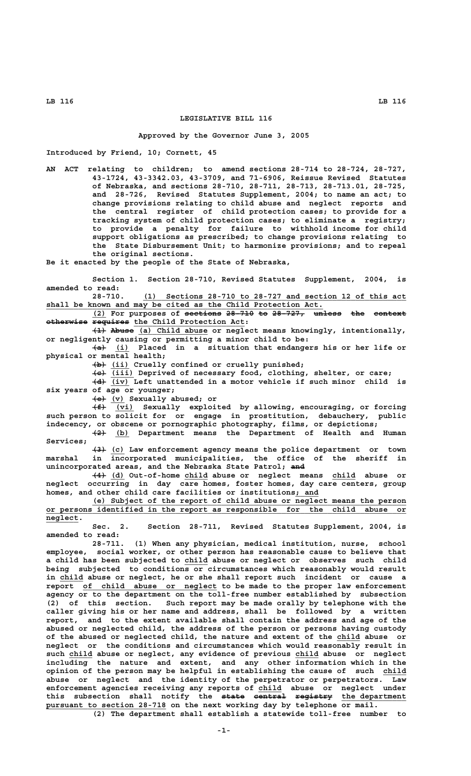## **LEGISLATIVE BILL 116**

## **Approved by the Governor June 3, 2005**

**Introduced by Friend, 10; Cornett, 45**

**AN ACT relating to children; to amend sections 28-714 to 28-724, 28-727, 43-1724, 43-3342.03, 43-3709, and 71-6906, Reissue Revised Statutes of Nebraska, and sections 28-710, 28-711, 28-713, 28-713.01, 28-725, and 28-726, Revised Statutes Supplement, 2004; to name an act; to change provisions relating to child abuse and neglect reports and the central register of child protection cases; to provide for a tracking system of child protection cases; to eliminate a registry; to provide a penalty for failure to withhold income for child support obligations as prescribed; to change provisions relating to the State Disbursement Unit; to harmonize provisions; and to repeal the original sections.**

**Be it enacted by the people of the State of Nebraska,**

**Section 1. Section 28-710, Revised Statutes Supplement, 2004, is amended to read:**

 **\_\_\_\_\_\_\_\_\_\_\_\_\_\_\_\_\_\_\_\_\_\_\_\_\_\_\_\_\_\_\_\_\_\_\_\_\_\_\_\_\_\_\_\_\_\_\_\_\_\_\_\_\_\_\_\_\_ 28-710. (1) Sections 28-710 to 28-727 and section 12 of this act** shall be known and may be cited as the Child Protection Act.

**(2) For purposes of sections 28-710 to 28-727, unless the context \_\_\_ ———————— —————— —— ——————— —————— ——— —————— otherwise requires the Child Protection Act: ————————— ———————— \_\_\_\_\_\_\_\_\_\_\_\_\_\_\_\_\_\_\_\_\_\_\_\_**

**(1) Abuse** (a) Child abuse or neglect means knowingly, intentionally, **or negligently causing or permitting a minor child to be:**

 **——— \_\_\_ (a) (i) Placed in a situation that endangers his or her life or physical or mental health;**

 **——— \_\_\_\_ (b) (ii) Cruelly confined or cruelly punished;**

 $\overline{(iii)}$  Deprived of necessary food, clothing, shelter, or care;

 **——— \_\_\_\_ (d) (iv) Left unattended in a motor vehicle if such minor child is**

**six years of age or younger;**

 **——— \_\_\_ (e) (v) Sexually abused; or**

 **——— \_\_\_\_ (f) (vi) Sexually exploited by allowing, encouraging, or forcing such person to solicit for or engage in prostitution, debauchery, public indecency, or obscene or pornographic photography, films, or depictions;**

 **——— \_\_\_ (2) (b) Department means the Department of Health and Human Services;**

 **——— \_\_\_ (3) (c) Law enforcement agency means the police department or town marshal in incorporated municipalities, the office of the sheriff in unincorporated areas, and the Nebraska State Patrol; and ———**

 **——— \_\_\_ \_\_\_\_\_ \_\_\_\_\_ (4) (d) Out-of-home child abuse or neglect means child abuse or neglect occurring in day care homes, foster homes, day care centers, group homes, and other child care facilities or institutions<u>; and</u>** 

 **\_\_\_\_\_\_\_\_\_\_\_\_\_\_\_\_\_\_\_\_\_\_\_\_\_\_\_\_\_\_\_\_\_\_\_\_\_\_\_\_\_\_\_\_\_\_\_\_\_\_\_\_\_\_\_\_\_\_\_\_\_\_\_\_\_\_\_\_ (e) Subject of the report of child abuse or neglect means the person \_\_\_\_\_\_\_\_\_\_\_\_\_\_\_\_\_\_\_\_\_\_\_\_\_\_\_\_\_\_\_\_\_\_\_\_\_\_\_\_\_\_\_\_\_\_\_\_\_\_\_\_\_\_\_\_\_\_\_\_\_\_\_\_\_\_\_\_\_\_\_\_\_\_\_\_\_\_ or persons identified in the report as responsible for the child abuse or**  $neglect.$ 

**Sec. 2. Section 28-711, Revised Statutes Supplement, 2004, is amended to read:**

**28-711. (1) When any physician, medical institution, nurse, school employee, social worker, or other person has reasonable cause to believe that \_\_\_\_\_ a child has been subjected to child abuse or neglect or observes such child being subjected to conditions or circumstances which reasonably would result \_\_\_\_\_ in child abuse or neglect, he or she shall report such incident or cause a \_\_\_\_\_\_\_\_\_\_\_\_\_\_\_\_\_\_\_\_\_\_\_\_\_\_\_\_\_ report of child abuse or neglect to be made to the proper law enforcement agency or to the department on the toll-free number established by subsection (2) of this section. Such report may be made orally by telephone with the caller giving his or her name and address, shall be followed by a written report, and to the extent available shall contain the address and age of the abused or neglected child, the address of the person or persons having custody of the abused or neglected child, the nature and extent of the child abuse or \_\_\_\_\_ neglect or the conditions and circumstances which would reasonably result in \_\_\_\_\_ \_\_\_\_\_ such child abuse or neglect, any evidence of previous child abuse or neglect including the nature and extent, and any other information which in the opinion of the person may be helpful in establishing the cause of such child \_\_\_\_\_ abuse or neglect and the identity of the perpetrator or perpetrators. Law enforcement agencies receiving any reports of child abuse or neglect under \_\_\_\_\_** this subsection shall notify the <del>state central registry</del> the department pursuant to section 28-718 on the next working day by telephone or mail.

**(2) The department shall establish a statewide toll-free number to**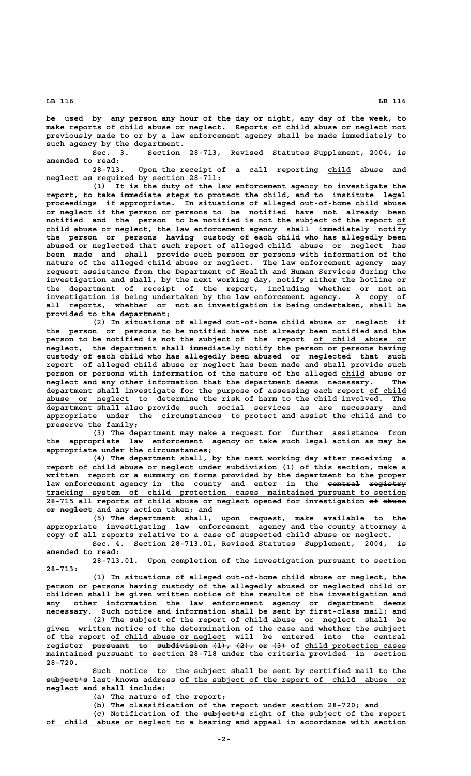**be used by any person any hour of the day or night, any day of the week, to** make reports of child abuse or neglect. Reports of child abuse or neglect not **previously made to or by a law enforcement agency shall be made immediately to such agency by the department.**

**Sec. 3. Section 28-713, Revised Statutes Supplement, 2004, is amended to read:**

Upon the receipt of a call reporting child abuse and **neglect as required by section 28-711:**

**(1) It is the duty of the law enforcement agency to investigate the report, to take immediate steps to protect the child, and to institute legal proceedings if appropriate. In situations of alleged out-of-home child abuse \_\_\_\_\_ or neglect if the person or persons to be notified have not already been notified and the person to be notified is not the subject of the report of\_\_ \_\_\_\_\_\_\_\_\_\_\_\_\_\_\_\_\_\_\_\_\_\_ child abuse or neglect, the law enforcement agency shall immediately notify the person or persons having custody of each child who has allegedly been** abused or neglected that such report of alleged child abuse or neglect has **been made and shall provide such person or persons with information of the \_\_\_\_\_ nature of the alleged child abuse or neglect. The law enforcement agency may request assistance from the Department of Health and Human Services during the investigation and shall, by the next working day, notify either the hotline or the department of receipt of the report, including whether or not an investigation is being undertaken by the law enforcement agency. A copy of all reports, whether or not an investigation is being undertaken, shall be provided to the department;**

**(2) In situations of alleged out-of-home child abuse or neglect if \_\_\_\_\_ the person or persons to be notified have not already been notified and the** person to be notified is not the subject of the report of child abuse or neglect, the department shall immediately notify the person or persons having **custody of each child who has allegedly been abused or neglected that such \_\_\_\_\_ report of alleged child abuse or neglect has been made and shall provide such** person or persons with information of the nature of the alleged **child** abuse or **neglect and any other information that the department deems necessary. The department shall investigate for the purpose of assessing each report of child \_\_\_\_\_\_\_\_ \_\_\_\_\_\_\_\_\_\_\_\_\_\_\_\_\_\_ abuse or neglect to determine the risk of harm to the child involved. The department shall also provide such social services as are necessary and appropriate under the circumstances to protect and assist the child and to preserve the family;**

**(3) The department may make a request for further assistance from the appropriate law enforcement agency or take such legal action as may be appropriate under the circumstances;**

**(4) The department shall, by the next working day after receiving a \_\_\_\_\_\_\_\_\_\_\_\_\_\_\_\_\_\_\_\_\_\_\_\_\_ report of child abuse or neglect under subdivision (1) of this section, make a written report or a summary on forms provided by the department to the proper** law enforcement agency in the county and enter in the central registry  **\_\_\_\_\_\_\_\_\_\_\_\_\_\_\_\_\_\_\_\_\_\_\_\_\_\_\_\_\_\_\_\_\_\_\_\_\_\_\_\_\_\_\_\_\_\_\_\_\_\_\_\_\_\_\_\_\_\_\_\_\_\_\_\_\_\_\_\_\_\_\_\_\_\_\_\_\_\_ tracking system of child protection cases maintained pursuant to section \_\_\_\_\_\_ \_\_\_\_\_\_\_\_\_\_\_\_\_\_\_\_\_\_\_\_\_\_\_\_\_ —— ————— 28-715 all reports of child abuse or neglect opened for investigation of abuse —— ——————— or neglect and any action taken; and**

**(5) The department shall, upon request, make available to the appropriate investigating law enforcement agency and the county attorney a copy of all reports relative to a case of suspected child abuse or neglect. \_\_\_\_\_**

**Sec. 4. Section 28-713.01, Revised Statutes Supplement, 2004, is amended to read:**

**28-713.01. Upon completion of the investigation pursuant to section 28-713:**

**(1) In situations of alleged out-of-home child abuse or neglect, the \_\_\_\_\_ person or persons having custody of the allegedly abused or neglected child or children shall be given written notice of the results of the investigation and any other information the law enforcement agency or department deems necessary. Such notice and information shall be sent by first-class mail; and**

 **\_\_\_\_\_\_\_\_\_\_\_\_\_\_\_\_\_\_\_\_\_\_\_\_\_\_\_ (2) The subject of the report of child abuse or neglect shall be given written notice of the determination of the case and whether the subject \_\_\_\_\_\_\_\_\_\_\_\_\_\_\_\_\_\_\_\_\_\_\_\_\_ of the report of child abuse or neglect will be entered into the central** register <del>pursuant to subdivision (1), (2), or (3)</del> of child protection cases maintained pursuant to section 28-718 under the criteria provided in section  **28-720.**

**Such notice to the subject shall be sent by certified mail to the ————————— \_\_\_\_\_\_\_\_\_\_\_\_\_\_\_\_\_\_\_\_\_\_\_\_\_\_\_\_\_\_\_\_\_\_\_\_\_\_\_\_\_\_\_\_\_\_\_\_\_ subject's last-known address of the subject of the report of child abuse or \_\_\_\_\_\_\_ neglect and shall include:**

**(a) The nature of the report;**

(b) The classification of the report under section 28-720; and

 **————————— \_\_\_\_\_\_\_\_\_\_\_\_\_\_\_\_\_\_\_\_\_\_\_\_\_\_\_\_ (c) Notification of the subject's right of the subject of the report \_\_\_\_\_\_\_\_\_\_\_\_\_\_\_\_\_\_\_\_\_\_\_\_\_\_\_ of child abuse or neglect to a hearing and appeal in accordance with section**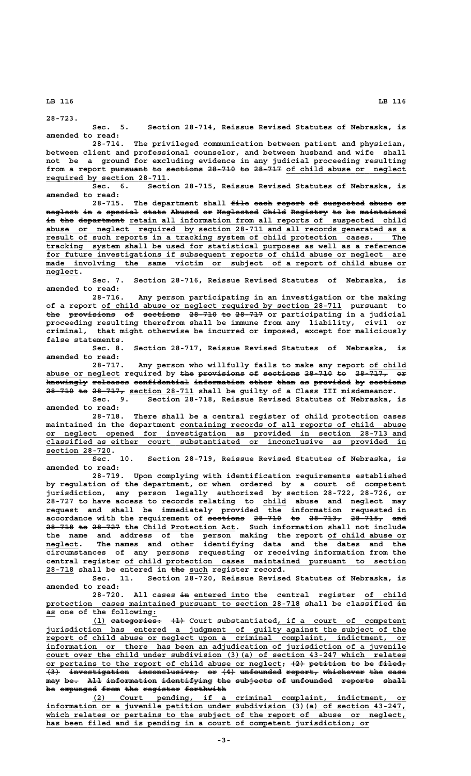**28-723.**

**Sec. 5. Section 28-714, Reissue Revised Statutes of Nebraska, is amended to read:**

**28-714. The privileged communication between patient and physician, between client and professional counselor, and between husband and wife shall not be a ground for excluding evidence in any judicial proceeding resulting** from a report <del>pursuant to sections 28-710 to 28-717</del> of child abuse or neglect  **\_\_\_\_\_\_\_\_\_\_\_\_\_\_\_\_\_\_\_\_\_\_\_\_\_\_ required by section 28-711.**

**Sec. 6. Section 28-715, Reissue Revised Statutes of Nebraska, is amended to read:**

28-715. The department shall <del>file each report of suspected abuse or</del>  $negleet$  in a special state Abused or Neglected Child Registry to be maintained in the department retain all information from all reports of suspected child  **\_\_\_\_\_\_\_\_\_\_\_\_\_\_\_\_\_\_\_\_\_\_\_\_\_\_\_\_\_\_\_\_\_\_\_\_\_\_\_\_\_\_\_\_\_\_\_\_\_\_\_\_\_\_\_\_\_\_\_\_\_\_\_\_\_\_\_\_\_\_\_\_\_\_\_\_\_\_ abuse or neglect required by section 28-711 and all records generated as a \_\_\_\_\_\_\_\_\_\_\_\_\_\_\_\_\_\_\_\_\_\_\_\_\_\_\_\_\_\_\_\_\_\_\_\_\_\_\_\_\_\_\_\_\_\_\_\_\_\_\_\_\_\_\_\_\_\_\_\_\_\_\_\_\_\_\_\_\_\_\_\_\_\_\_\_\_\_ result of such reports in a tracking system of child protection cases. The** tracking system shall be used for statistical purposes as well as a reference  **\_\_\_\_\_\_\_\_\_\_\_\_\_\_\_\_\_\_\_\_\_\_\_\_\_\_\_\_\_\_\_\_\_\_\_\_\_\_\_\_\_\_\_\_\_\_\_\_\_\_\_\_\_\_\_\_\_\_\_\_\_\_\_\_\_\_\_\_\_\_\_\_\_\_\_\_\_\_ for future investigations if subsequent reports of child abuse or neglect are \_\_\_\_\_\_\_\_\_\_\_\_\_\_\_\_\_\_\_\_\_\_\_\_\_\_\_\_\_\_\_\_\_\_\_\_\_\_\_\_\_\_\_\_\_\_\_\_\_\_\_\_\_\_\_\_\_\_\_\_\_\_\_\_\_\_\_\_\_\_\_\_\_\_\_\_\_\_ made involving the same victim or subject of a report of child abuse or neglect. \_\_\_\_\_\_\_**

> **Sec. 7. Section 28-716, Reissue Revised Statutes of Nebraska, is amended to read:**

**28-716. Any person participating in an investigation or the making \_\_\_\_\_\_\_\_\_\_\_\_\_\_\_\_\_\_\_\_\_\_\_\_\_\_\_\_\_\_\_\_\_\_\_\_\_\_\_\_\_\_\_\_\_\_\_\_\_\_\_\_ of a report of child abuse or neglect required by section 28-711 pursuant to the provisions of sections 28-710 to 28-717 or participating in a judicial ——— —————————— —— ———————— —————— —— ————— proceeding resulting therefrom shall be immune from any liability, civil or criminal, that might otherwise be incurred or imposed, except for maliciously false statements.**

**Sec. 8. Section 28-717, Reissue Revised Statutes of Nebraska, is amended to read:**

**28-717. Any person who willfully fails to make any report of child \_\_\_\_\_\_\_\_** abuse or neglect required by the provisions of sections 28-710 to 28-717, or **knowingly releases confidential information other than as provided by sections ————————— ———————— ———————————— ——————————— ————— ———— —— ———————— —— ———————— 28-710 to 28-717, section 28-711 shall be guilty of a Class III misdemeanor.**<br> **Sec.** 9. Section 28-718, Reissue Revised Statutes of Nebraska, :

Section 28-718, Reissue Revised Statutes of Nebraska, is **amended to read:**

**28-718. There shall be a central register of child protection cases \_\_\_\_\_\_\_\_\_\_\_\_\_\_\_\_\_\_\_\_\_\_\_\_\_\_\_\_\_\_\_\_\_\_\_\_\_\_\_\_\_\_\_\_\_\_\_\_\_ maintained in the department containing records of all reports of child abuse \_\_\_\_\_\_\_\_\_\_\_\_\_\_\_\_\_\_\_\_\_\_\_\_\_\_\_\_\_\_\_\_\_\_\_\_\_\_\_\_\_\_\_\_\_\_\_\_\_\_\_\_\_\_\_\_\_\_\_\_\_\_\_\_\_\_\_\_\_\_\_\_\_\_\_\_\_\_ or neglect opened for investigation as provided in section 28-713 and \_\_\_\_\_\_\_\_\_\_\_\_\_\_\_\_\_\_\_\_\_\_\_\_\_\_\_\_\_\_\_\_\_\_\_\_\_\_\_\_\_\_\_\_\_\_\_\_\_\_\_\_\_\_\_\_\_\_\_\_\_\_\_\_\_\_\_\_\_\_\_\_\_\_\_\_\_\_ classified as either court substantiated or inconclusive as provided in section 28-720. \_\_\_\_\_\_\_\_\_\_\_\_\_\_**

> **Sec. 10. Section 28-719, Reissue Revised Statutes of Nebraska, is amended to read:**

**28-719. Upon complying with identification requirements established by regulation of the department, or when ordered by a court of competent jurisdiction, any person legally authorized by section 28-722, 28-726, or 28-727 to have access to records relating to child abuse and neglect may \_\_\_\_\_ request and shall be immediately provided the information requested in accordance with the requirement of sections 28-710 to 28-713, 28-715, and ———————— —————— —— ——————— ——————— ———** 28-718 to 28-727 the Child Protection Act. Such information shall not include the name and address of the person making the report of child abuse or  **\_\_\_\_\_\_\_ neglect. The names and other identifying data and the dates and the circumstances of any persons requesting or receiving information from the \_\_\_\_\_\_\_\_\_\_\_\_\_\_\_\_\_\_\_\_\_\_\_\_\_\_\_\_\_\_\_\_\_\_\_\_\_\_\_\_\_\_\_\_\_\_\_\_\_\_\_\_\_\_\_\_\_\_\_\_\_ central register of child protection cases maintained pursuant to section \_\_\_\_\_\_ ——— \_\_\_\_ 28-718 shall be entered in the such register record.**

**Sec. 11. Section 28-720, Reissue Revised Statutes of Nebraska, is amended to read:**

28-720. All cases in entered into the central register of child protection cases maintained pursuant to section 28-718 shall be classified in  **\_\_ \_ as one of the following:**

 **\_\_\_ ——————————— ——— \_\_\_\_\_\_\_\_\_\_\_\_\_\_\_\_\_\_\_\_\_\_\_\_\_\_\_\_ (1) categories: (1) Court substantiated, if a court of competent \_\_\_\_\_\_\_\_\_\_\_\_\_\_\_\_\_\_\_\_\_\_\_\_\_\_\_\_\_\_\_\_\_\_\_\_\_\_\_\_\_\_\_\_\_\_\_\_\_\_\_\_\_\_\_\_\_\_\_\_\_\_\_\_\_\_\_\_\_\_\_\_\_\_\_\_\_\_ jurisdiction has entered a judgment of guilty against the subject of the \_\_\_\_\_\_\_\_\_\_\_\_\_\_\_\_\_\_\_\_\_\_\_\_\_\_\_\_\_\_\_\_\_\_\_\_\_\_\_\_\_\_\_\_\_\_\_\_\_\_\_\_\_\_\_\_\_\_\_\_\_\_\_\_\_\_\_\_\_\_\_\_\_\_\_\_\_\_ report of child abuse or neglect upon a criminal complaint, indictment, or \_\_\_\_\_\_\_\_\_\_\_\_\_\_\_\_\_\_\_\_\_\_\_\_\_\_\_\_\_\_\_\_\_\_\_\_\_\_\_\_\_\_\_\_\_\_\_\_\_\_\_\_\_\_\_\_\_\_\_\_\_\_\_\_\_\_\_\_\_\_\_\_\_\_\_\_\_\_ information or there has been an adjudication of jurisdiction of a juvenile \_\_\_\_\_\_\_\_\_\_\_\_\_\_\_\_\_\_\_\_\_\_\_\_\_\_\_\_\_\_\_\_\_\_\_\_\_\_\_\_\_\_\_\_\_\_\_\_\_\_\_\_\_\_\_\_\_\_\_\_\_\_\_\_\_\_\_\_\_\_\_\_\_\_\_\_\_\_ court over the child under subdivision (3)(a) of section 43-247 which relates** or pertains to the report of child abuse or neglect;  $(2)$  petition to be filed;  $\left\{4\right\}$  investigation inconclusive; or  $\left\{4\right\}$  unfounded report, whichever the case may be. All information identifying the subjects of unfounded reports shall be expunged from the register forthwith

 **\_\_\_\_\_\_\_\_\_\_\_\_\_\_\_\_\_\_\_\_\_\_\_\_\_\_\_\_\_\_\_\_\_\_\_\_\_\_\_\_\_\_\_\_\_\_\_\_\_\_\_\_\_\_\_\_\_\_\_\_\_\_\_\_\_\_\_\_ (2) Court pending, if a criminal complaint, indictment, or \_\_\_\_\_\_\_\_\_\_\_\_\_\_\_\_\_\_\_\_\_\_\_\_\_\_\_\_\_\_\_\_\_\_\_\_\_\_\_\_\_\_\_\_\_\_\_\_\_\_\_\_\_\_\_\_\_\_\_\_\_\_\_\_\_\_\_\_\_\_\_\_\_\_\_\_\_\_ information or a juvenile petition under subdivision (3)(a) of section 43-247,** which relates or pertains to the subject of the report of abuse or neglect, has been filed and is pending in a court of competent jurisdiction; or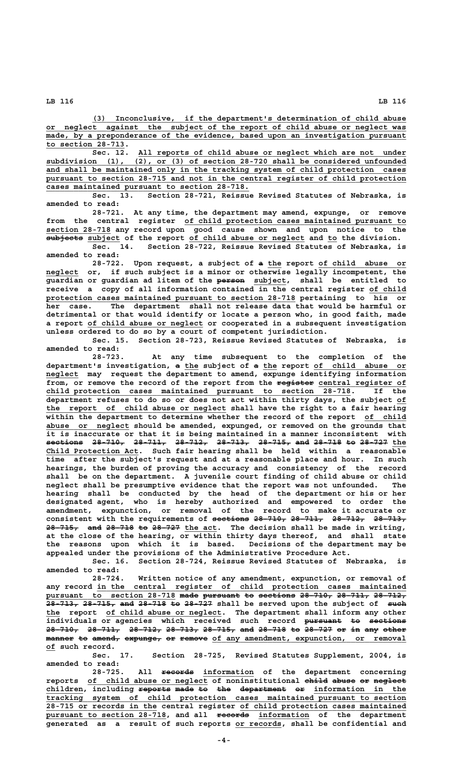**\_\_\_\_\_\_\_\_\_\_\_\_\_\_\_\_\_\_\_\_\_\_\_\_\_\_\_\_\_\_\_\_\_\_\_\_\_\_\_\_\_\_\_\_\_\_\_\_\_\_\_\_\_\_\_\_\_\_\_\_\_\_\_\_\_\_\_\_ (3) Inconclusive, if the department's determination of child abuse \_\_\_\_\_\_\_\_\_\_\_\_\_\_\_\_\_\_\_\_\_\_\_\_\_\_\_\_\_\_\_\_\_\_\_\_\_\_\_\_\_\_\_\_\_\_\_\_\_\_\_\_\_\_\_\_\_\_\_\_\_\_\_\_\_\_\_\_\_\_\_\_\_\_\_\_\_\_ or neglect against the subject of the report of child abuse or neglect was** made, by a preponderance of the evidence, based upon an investigation pursuant  **\_\_\_\_\_\_\_\_\_\_\_\_\_\_\_\_\_ to section 28-713.**

 **\_\_\_\_\_\_\_\_\_\_\_\_\_\_\_\_\_\_\_\_\_\_\_\_\_\_\_\_\_\_\_\_\_\_\_\_\_\_\_\_\_\_\_\_\_\_\_\_\_\_\_\_\_\_\_\_\_\_ Sec. 12. All reports of child abuse or neglect which are not under \_\_\_\_\_\_\_\_\_\_\_\_\_\_\_\_\_\_\_\_\_\_\_\_\_\_\_\_\_\_\_\_\_\_\_\_\_\_\_\_\_\_\_\_\_\_\_\_\_\_\_\_\_\_\_\_\_\_\_\_\_\_\_\_\_\_\_\_\_\_\_\_\_\_\_\_\_\_ subdivision (1), (2), or (3) of section 28-720 shall be considered unfounded \_\_\_\_\_\_\_\_\_\_\_\_\_\_\_\_\_\_\_\_\_\_\_\_\_\_\_\_\_\_\_\_\_\_\_\_\_\_\_\_\_\_\_\_\_\_\_\_\_\_\_\_\_\_\_\_\_\_\_\_\_\_\_\_\_\_\_\_\_\_\_\_\_\_\_\_\_\_ and shall be maintained only in the tracking system of child protection cases \_\_\_\_\_\_\_\_\_\_\_\_\_\_\_\_\_\_\_\_\_\_\_\_\_\_\_\_\_\_\_\_\_\_\_\_\_\_\_\_\_\_\_\_\_\_\_\_\_\_\_\_\_\_\_\_\_\_\_\_\_\_\_\_\_\_\_\_\_\_\_\_\_\_\_\_\_\_ pursuant to section 28-715 and not in the central register of child protection \_\_\_\_\_\_\_\_\_\_\_\_\_\_\_\_\_\_\_\_\_\_\_\_\_\_\_\_\_\_\_\_\_\_\_\_\_\_\_\_\_\_\_\_ cases maintained pursuant to section 28-718.**

**Sec. 13. Section 28-721, Reissue Revised Statutes of Nebraska, is amended to read:**

**28-721. At any time, the department may amend, expunge, or remove \_\_\_\_\_\_\_\_\_\_\_\_\_\_\_\_\_\_\_\_\_\_\_\_\_\_\_\_\_\_\_\_\_\_\_\_\_\_\_\_\_\_\_\_\_\_\_\_ from the central register of child protection cases maintained pursuant to \_\_\_\_\_\_\_\_\_\_\_\_\_\_ section 28-718 any record upon good cause shown and upon notice to the**  $\overline{\text{subject}}$  subject of the report of child abuse or neglect and to the division.

**Sec. 14. Section 28-722, Reissue Revised Statutes of Nebraska, is amended to read:**

28-722. Upon request, a subject of a the report of child abuse or neglect or, if such subject is a minor or otherwise legally incompetent, the  **—————— \_\_\_\_\_\_\_ guardian or guardian ad litem of the person subject, shall be entitled to receive a copy of all information contained in the central register of child \_\_\_\_\_\_\_\_ \_\_\_\_\_\_\_\_\_\_\_\_\_\_\_\_\_\_\_\_\_\_\_\_\_\_\_\_\_\_\_\_\_\_\_\_\_\_\_\_\_\_\_\_\_\_\_\_\_\_\_\_\_\_ protection cases maintained pursuant to section 28-718 pertaining to his or her case. The department shall not release data that would be harmful or detrimental or that would identify or locate a person who, in good faith, made \_\_\_\_\_\_\_\_\_\_\_\_\_\_\_\_\_\_\_\_\_\_\_\_\_ a report of child abuse or neglect or cooperated in a subsequent investigation unless ordered to do so by a court of competent jurisdiction.**

**Sec. 15. Section 28-723, Reissue Revised Statutes of Nebraska, is amended to read:**

**28-723. At any time subsequent to the completion of the** department's investigation, a the subject of a the report of child abuse or  **\_\_\_\_\_\_\_ neglect may request the department to amend, expunge identifying information** from, or remove the record of the report from the register central register of  **\_\_\_\_\_\_\_\_\_\_\_\_\_\_\_\_\_\_\_\_\_\_\_\_\_\_\_\_\_\_\_\_\_\_\_\_\_\_\_\_\_\_\_\_\_\_\_\_\_\_\_\_\_\_\_\_\_\_\_\_\_\_\_\_\_\_ child protection cases maintained pursuant to section 28-718. If the department refuses to do so or does not act within thirty days, the subject of\_\_ \_\_\_\_\_\_\_\_\_\_\_\_\_\_\_\_\_\_\_\_\_\_\_\_\_\_\_\_\_\_\_\_\_\_\_\_\_\_\_ the report of child abuse or neglect shall have the right to a fair hearing within the department to determine whether the record of the report of child \_\_\_\_\_\_\_\_\_** abuse or neglect should be amended, expunged, or removed on the grounds that **it is inaccurate or that it is being maintained in a manner inconsistent with sections** 28-710, 28-711, 28-712, 28-713, 28-715, and 28-718 to 28-727 the  **\_\_\_\_\_\_\_\_\_\_\_\_\_\_\_\_\_\_\_\_ Child Protection Act. Such fair hearing shall be held within a reasonable time after the subject's request and at a reasonable place and hour. In such hearings, the burden of proving the accuracy and consistency of the record shall be on the department. A juvenile court finding of child abuse or child neglect shall be presumptive evidence that the report was not unfounded. The hearing shall be conducted by the head of the department or his or her designated agent, who is hereby authorized and empowered to order the amendment, expunction, or removal of the record to make it accurate or** consistent with the requirements of <del>sections 28-710, 28-711,</del> 28-712, 28-713, 28-715, and 28-718 to 28-727 the act. The decision shall be made in writing, **at the close of the hearing, or within thirty days thereof, and shall state the reasons upon which it is based. Decisions of the department may be appealed under the provisions of the Administrative Procedure Act.**

**Sec. 16. Section 28-724, Reissue Revised Statutes of Nebraska, is amended to read:**

**28-724. Written notice of any amendment, expunction, or removal of \_\_\_\_\_\_\_\_\_\_\_\_\_\_\_\_\_\_\_\_\_\_\_\_\_\_\_\_\_\_\_\_\_\_\_\_\_\_\_\_\_\_\_\_\_\_\_\_\_\_\_\_\_\_\_\_\_\_\_\_\_\_\_\_\_\_\_ any record in the central register of child protection cases maintained** pursuant to section 28-718 made pursuant to sections 28-710, 28-711, 28-712, **28-713, 28-715, and 28-718 to 28-727** shall be served upon the subject of such  **\_\_\_ \_\_\_\_\_\_\_\_\_\_\_\_\_\_\_\_\_\_\_\_\_\_\_\_\_ the report of child abuse or neglect. The department shall inform any other individuals or agencies which received such record pursuant to sections ———————— —— ———————— 28-710, 28-711, 28-712, 28-713, 28-715, and 28-718 to 28-727 or in any other ——————— ——————— ——————— ——————— ——————— ——— —————— —— —————— —— —— ——— ————**  $m$ anner to amend, expunge, or remove of any amendment, expunction, or removal  **\_\_of such record.**

**Sec. 17. Section 28-725, Revised Statutes Supplement, 2004, is amended to read:**

 **——————— \_\_\_\_\_\_\_\_\_\_\_ 28-725. All records information of the department concerning reports of child abuse or neglect of noninstitutional child abuse or neglect \_\_\_\_\_\_\_\_\_\_\_\_\_\_\_\_\_\_\_\_\_\_\_\_\_\_ ————— ————— —— ——————** children, including <del>reports made to the department or</del> information in the  **\_\_\_\_\_\_\_\_\_\_\_\_\_\_\_\_\_\_\_\_\_\_\_\_\_\_\_\_\_\_\_\_\_\_\_\_\_\_\_\_\_\_\_\_\_\_\_\_\_\_\_\_\_\_\_\_\_\_\_\_\_\_\_\_\_\_\_\_\_\_\_\_\_\_\_\_\_\_ tracking system of child protection cases maintained pursuant to section \_\_\_\_\_\_\_\_\_\_\_\_\_\_\_\_\_\_\_\_\_\_\_\_ \_\_\_\_\_\_\_\_\_\_\_\_\_\_\_\_\_\_\_\_\_\_\_\_\_\_\_\_\_\_\_\_\_\_\_\_ 28-715 or records in the central register of child protection cases maintained** pursuant to section 28-718, and all records information of the department  **\_\_\_\_\_\_\_\_\_\_ generated as a result of such reports or records, shall be confidential and**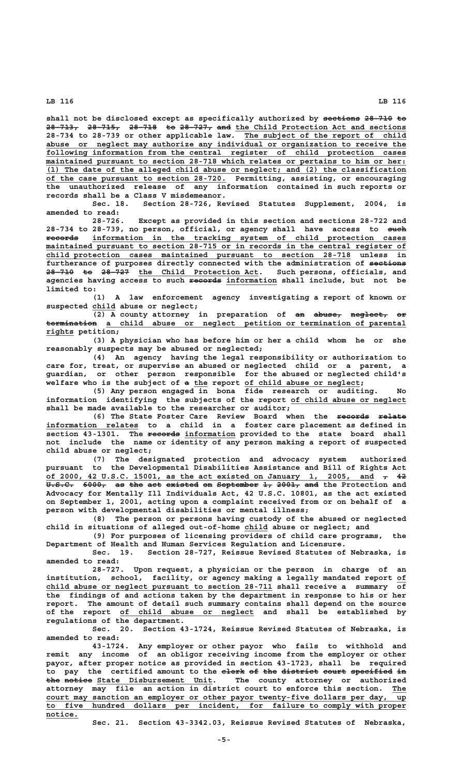shall not be disclosed except as specifically authorized by sections 28-710 to 28-713, 28-715, 28-718 to 28-727, and the Child Protection Act and sections  **\_\_\_\_\_\_\_\_\_\_\_\_\_\_\_\_\_\_\_\_\_\_\_\_\_\_\_\_\_\_\_\_\_\_\_ 28-734 to 28-739 or other applicable law. The subject of the report of child \_\_\_\_\_\_\_\_\_\_\_\_\_\_\_\_\_\_\_\_\_\_\_\_\_\_\_\_\_\_\_\_\_\_\_\_\_\_\_\_\_\_\_\_\_\_\_\_\_\_\_\_\_\_\_\_\_\_\_\_\_\_\_\_\_\_\_\_\_\_\_\_\_\_\_\_\_\_ abuse or neglect may authorize any individual or organization to receive the** following information from the central register of child protection cases maintained pursuant to section 28-718 which relates or pertains to him or her:  **\_\_\_\_\_\_\_\_\_\_\_\_\_\_\_\_\_\_\_\_\_\_\_\_\_\_\_\_\_\_\_\_\_\_\_\_\_\_\_\_\_\_\_\_\_\_\_\_\_\_\_\_\_\_\_\_\_\_\_\_\_\_\_\_\_\_\_\_\_\_\_\_\_\_\_\_\_\_ (1) The date of the alleged child abuse or neglect; and (2) the classification \_\_\_\_\_\_\_\_\_\_\_\_\_\_\_\_\_\_\_\_\_\_\_\_\_\_\_\_\_\_\_\_\_\_\_\_\_\_\_ of the case pursuant to section 28-720. Permitting, assisting, or encouraging the unauthorized release of any information contained in such reports or records shall be a Class V misdemeanor.**

**Sec. 18. Section 28-726, Revised Statutes Supplement, 2004, is amended to read:**

**28-726. Except as provided in this section and sections 28-722 and** 28-734 to 28-739, no person, official, or agency shall have access to such  **——————— \_\_\_\_\_\_\_\_\_\_\_\_\_\_\_\_\_\_\_\_\_\_\_\_\_\_\_\_\_\_\_\_\_\_\_\_\_\_\_\_\_\_\_\_\_\_\_\_\_\_\_\_\_\_\_\_\_\_\_\_\_\_\_\_\_\_\_\_ records information in the tracking system of child protection cases \_\_\_\_\_\_\_\_\_\_\_\_\_\_\_\_\_\_\_\_\_\_\_\_\_\_\_\_\_\_\_\_\_\_\_\_\_\_\_\_\_\_\_\_\_\_\_\_\_\_\_\_\_\_\_\_\_\_\_\_\_\_\_\_\_\_\_\_\_\_\_\_\_\_\_\_\_\_ maintained pursuant to section 28-715 or in records in the central register of \_\_\_\_\_\_\_\_\_\_\_\_\_\_\_\_\_\_\_\_\_\_\_\_\_\_\_\_\_\_\_\_\_\_\_\_\_\_\_\_\_\_\_\_\_\_\_\_\_\_\_\_\_\_\_\_\_\_\_\_\_\_\_\_\_\_ child protection cases maintained pursuant to section 28-718 unless in** furtherance of purposes directly connected with the administration of seetions 28-710 to 28-727 the Child Protection Act. Such persons, officials, and  **——————— \_\_\_\_\_\_\_\_\_\_\_ agencies having access to such records information shall include, but not be limited to:**

> **(1) A law enforcement agency investigating a report of known or \_\_\_\_\_ suspected child abuse or neglect;**

(2) A county attorney in preparation of an abuse, neglest, or  $\texttt{termination}$  a child abuse or neglect petition or termination of parental  **rights petition; \_\_\_\_\_\_**

**(3) A physician who has before him or her a child whom he or she reasonably suspects may be abused or neglected;**

**(4) An agency having the legal responsibility or authorization to care for, treat, or supervise an abused or neglected child or a parent, a guardian, or other person responsible for the abused or neglected child's** welfare who is the subject of  $a$  the report of child abuse or neglect;

**(5) Any person engaged in bona fide research or auditing. No** information identifying the subjects of the report of child abuse or neglect **shall be made available to the researcher or auditor;**

(6) The State Foster Care Review Board when the <del>records relate</del> information relates to a child in a foster care placement as defined in  **——————— \_\_\_\_\_\_\_\_\_\_\_ section 43-1301. The records information provided to the state board shall not include the name or identity of any person making a report of suspected child abuse or neglect;**

> **(7) The designated protection and advocacy system authorized pursuant to the Developmental Disabilities Assistance and Bill of Rights Act** of 2000, 42 U.S.C. 15001, as the act existed on January 1, 2005, and  $-$  42  $\overline{u}$ . S.C. 6000, as the act existed on September 1, 2001, and the Protection and **Advocacy for Mentally Ill Individuals Act, 42 U.S.C. 10801, as the act existed on September 1, 2001, acting upon a complaint received from or on behalf of a person with developmental disabilities or mental illness;**

> **(8) The person or persons having custody of the abused or neglected \_\_\_\_\_ child in situations of alleged out-of-home child abuse or neglect; and**

> **(9) For purposes of licensing providers of child care programs, the Department of Health and Human Services Regulation and Licensure.**

> **Sec. 19. Section 28-727, Reissue Revised Statutes of Nebraska, is amended to read:**

> **28-727. Upon request, a physician or the person in charge of an institution, school, facility, or agency making a legally mandated report of\_\_ \_\_\_\_\_\_\_\_\_\_\_\_\_\_\_\_\_\_\_\_\_\_\_\_\_\_\_\_\_\_\_\_\_\_\_\_\_\_\_\_\_\_\_\_\_\_\_\_\_ child abuse or neglect pursuant to section 28-711 shall receive a summary of the findings of and actions taken by the department in response to his or her report. The amount of detail such summary contains shall depend on the source \_\_\_\_\_\_\_\_\_\_\_\_\_\_\_\_\_\_\_\_\_\_\_\_\_\_\_\_\_ of the report of child abuse or neglect and shall be established by regulations of the department.**

> **Sec. 20. Section 43-1724, Reissue Revised Statutes of Nebraska, is amended to read:**

> **43-1724. Any employer or other payor who fails to withhold and remit any income of an obligor receiving income from the employer or other payor, after proper notice as provided in section 43-1723, shall be required** to pay the certified amount to the elerk of the district court specified in **the notice** State Disbursement Unit. The county attorney or authorized **attorney may file an action in district court to enforce this section. The \_\_\_ \_\_\_\_\_\_\_\_\_\_\_\_\_\_\_\_\_\_\_\_\_\_\_\_\_\_\_\_\_\_\_\_\_\_\_\_\_\_\_\_\_\_\_\_\_\_\_\_\_\_\_\_\_\_\_\_\_\_\_\_\_\_\_\_\_\_\_\_\_\_\_\_\_\_\_\_\_\_ court may sanction an employer or other payor twenty-five dollars per day, up \_\_\_\_\_\_\_\_\_\_\_\_\_\_\_\_\_\_\_\_\_\_\_\_\_\_\_\_\_\_\_\_\_\_\_\_\_\_\_\_\_\_\_\_\_\_\_\_\_\_\_\_\_\_\_\_\_\_\_\_\_\_\_\_\_\_\_\_\_\_\_\_\_\_\_\_\_\_ to five hundred dollars per incident, for failure to comply with proper notice. \_\_\_\_\_\_\_**

**Sec. 21. Section 43-3342.03, Reissue Revised Statutes of Nebraska,**